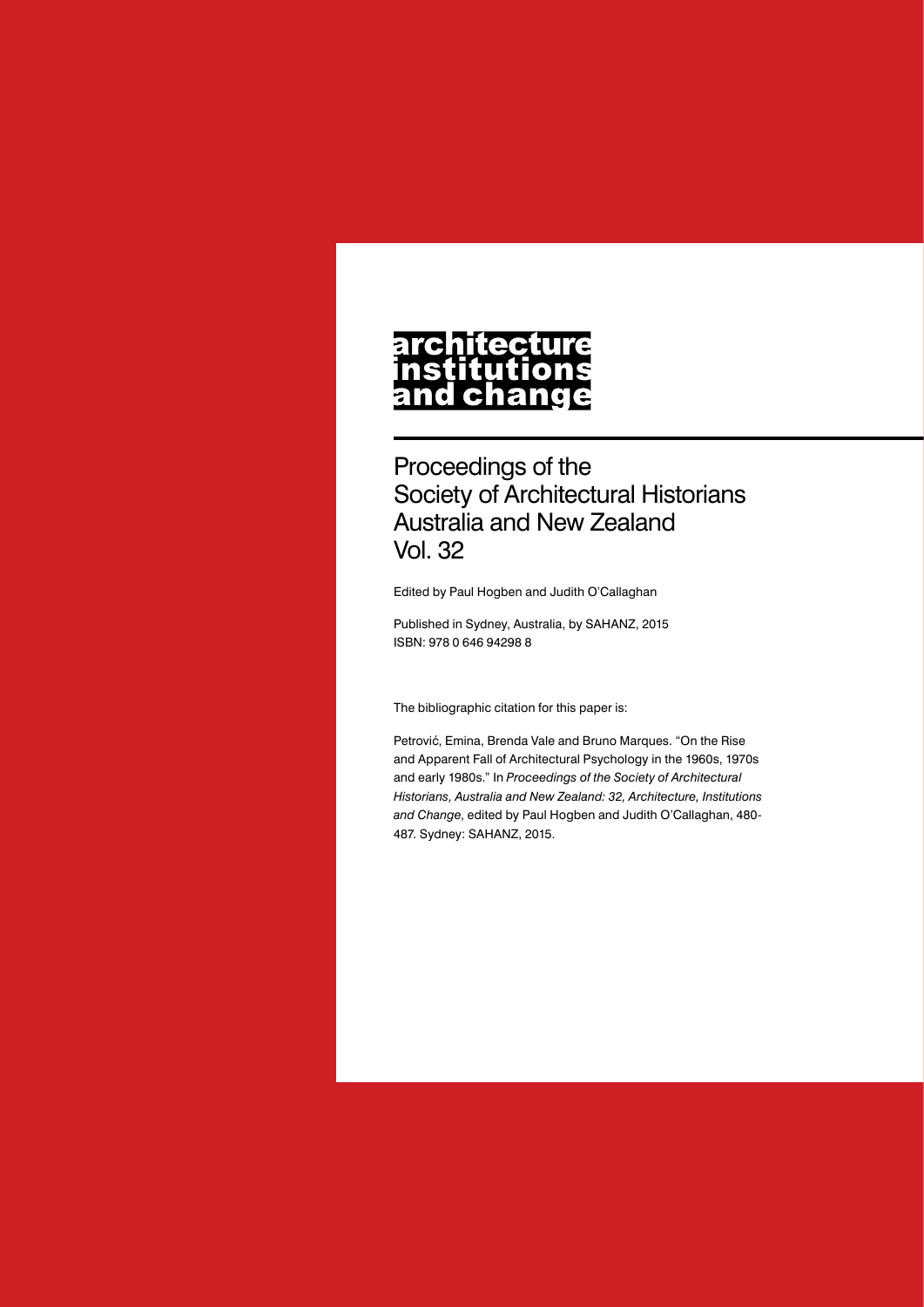#### architecture nstitutions **Ch** nd a

Proceedings of the Society of Architectural Historians Australia and New Zealand Vol. 32

Edited by Paul Hogben and Judith O'Callaghan

Published in Sydney, Australia, by SAHANZ, 2015 ISBN: 978 0 646 94298 8

The bibliographic citation for this paper is:

Petrović, Emina, Brenda Vale and Bruno Marques. "On the Rise and Apparent Fall of Architectural Psychology in the 1960s, 1970s and early 1980s." In *Proceedings of the Society of Architectural Historians, Australia and New Zealand: 32, Architecture, Institutions and Change*, edited by Paul Hogben and Judith O'Callaghan, 480- 487. Sydney: SAHANZ, 2015.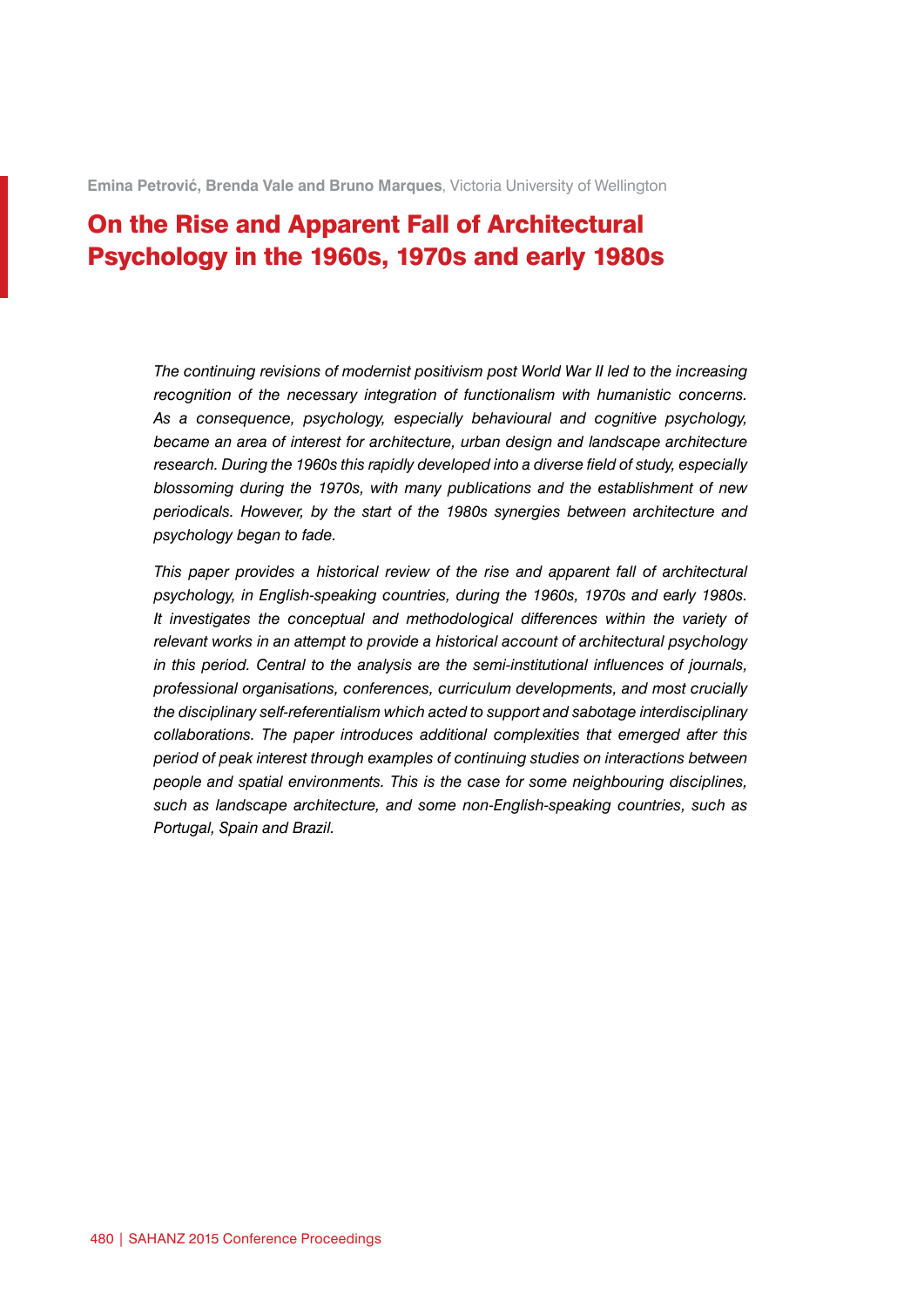**Emina Petrović, Brenda Vale and Bruno Marques**, Victoria University of Wellington

# On the Rise and Apparent Fall of Architectural Psychology in the 1960s, 1970s and early 1980s

*The continuing revisions of modernist positivism post World War II led to the increasing recognition of the necessary integration of functionalism with humanistic concerns. As a consequence, psychology, especially behavioural and cognitive psychology, became an area of interest for architecture, urban design and landscape architecture research. During the 1960s this rapidly developed into a diverse field of study, especially blossoming during the 1970s, with many publications and the establishment of new periodicals. However, by the start of the 1980s synergies between architecture and psychology began to fade.*

*This paper provides a historical review of the rise and apparent fall of architectural psychology, in English-speaking countries, during the 1960s, 1970s and early 1980s. It investigates the conceptual and methodological differences within the variety of relevant works in an attempt to provide a historical account of architectural psychology in this period. Central to the analysis are the semi-institutional influences of journals, professional organisations, conferences, curriculum developments, and most crucially the disciplinary self-referentialism which acted to support and sabotage interdisciplinary collaborations. The paper introduces additional complexities that emerged after this period of peak interest through examples of continuing studies on interactions between people and spatial environments. This is the case for some neighbouring disciplines, such as landscape architecture, and some non-English-speaking countries, such as Portugal, Spain and Brazil.*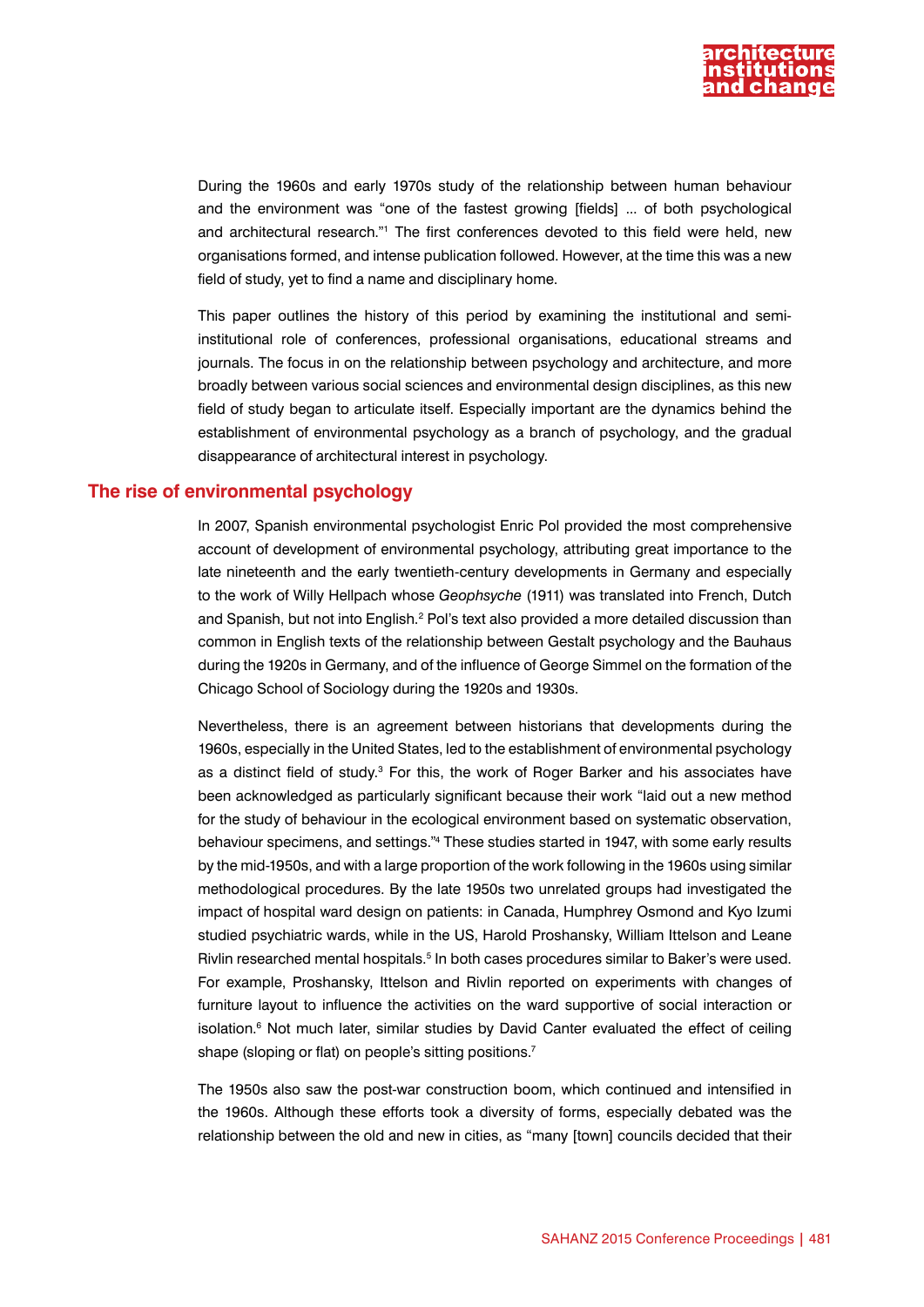

During the 1960s and early 1970s study of the relationship between human behaviour and the environment was "one of the fastest growing [fields] ... of both psychological and architectural research."1 The first conferences devoted to this field were held, new organisations formed, and intense publication followed. However, at the time this was a new field of study, yet to find a name and disciplinary home.

This paper outlines the history of this period by examining the institutional and semiinstitutional role of conferences, professional organisations, educational streams and journals. The focus in on the relationship between psychology and architecture, and more broadly between various social sciences and environmental design disciplines, as this new field of study began to articulate itself. Especially important are the dynamics behind the establishment of environmental psychology as a branch of psychology, and the gradual disappearance of architectural interest in psychology.

### **The rise of environmental psychology**

In 2007, Spanish environmental psychologist Enric Pol provided the most comprehensive account of development of environmental psychology, attributing great importance to the late nineteenth and the early twentieth-century developments in Germany and especially to the work of Willy Hellpach whose *Geophsyche* (1911) was translated into French, Dutch and Spanish, but not into English.<sup>2</sup> Pol's text also provided a more detailed discussion than common in English texts of the relationship between Gestalt psychology and the Bauhaus during the 1920s in Germany, and of the influence of George Simmel on the formation of the Chicago School of Sociology during the 1920s and 1930s.

Nevertheless, there is an agreement between historians that developments during the 1960s, especially in the United States, led to the establishment of environmental psychology as a distinct field of study.<sup>3</sup> For this, the work of Roger Barker and his associates have been acknowledged as particularly significant because their work "laid out a new method for the study of behaviour in the ecological environment based on systematic observation, behaviour specimens, and settings."4 These studies started in 1947, with some early results by the mid-1950s, and with a large proportion of the work following in the 1960s using similar methodological procedures. By the late 1950s two unrelated groups had investigated the impact of hospital ward design on patients: in Canada, Humphrey Osmond and Kyo Izumi studied psychiatric wards, while in the US, Harold Proshansky, William Ittelson and Leane Rivlin researched mental hospitals.<sup>5</sup> In both cases procedures similar to Baker's were used. For example, Proshansky, Ittelson and Rivlin reported on experiments with changes of furniture layout to influence the activities on the ward supportive of social interaction or isolation.<sup>6</sup> Not much later, similar studies by David Canter evaluated the effect of ceiling shape (sloping or flat) on people's sitting positions.<sup>7</sup>

The 1950s also saw the post-war construction boom, which continued and intensified in the 1960s. Although these efforts took a diversity of forms, especially debated was the relationship between the old and new in cities, as "many [town] councils decided that their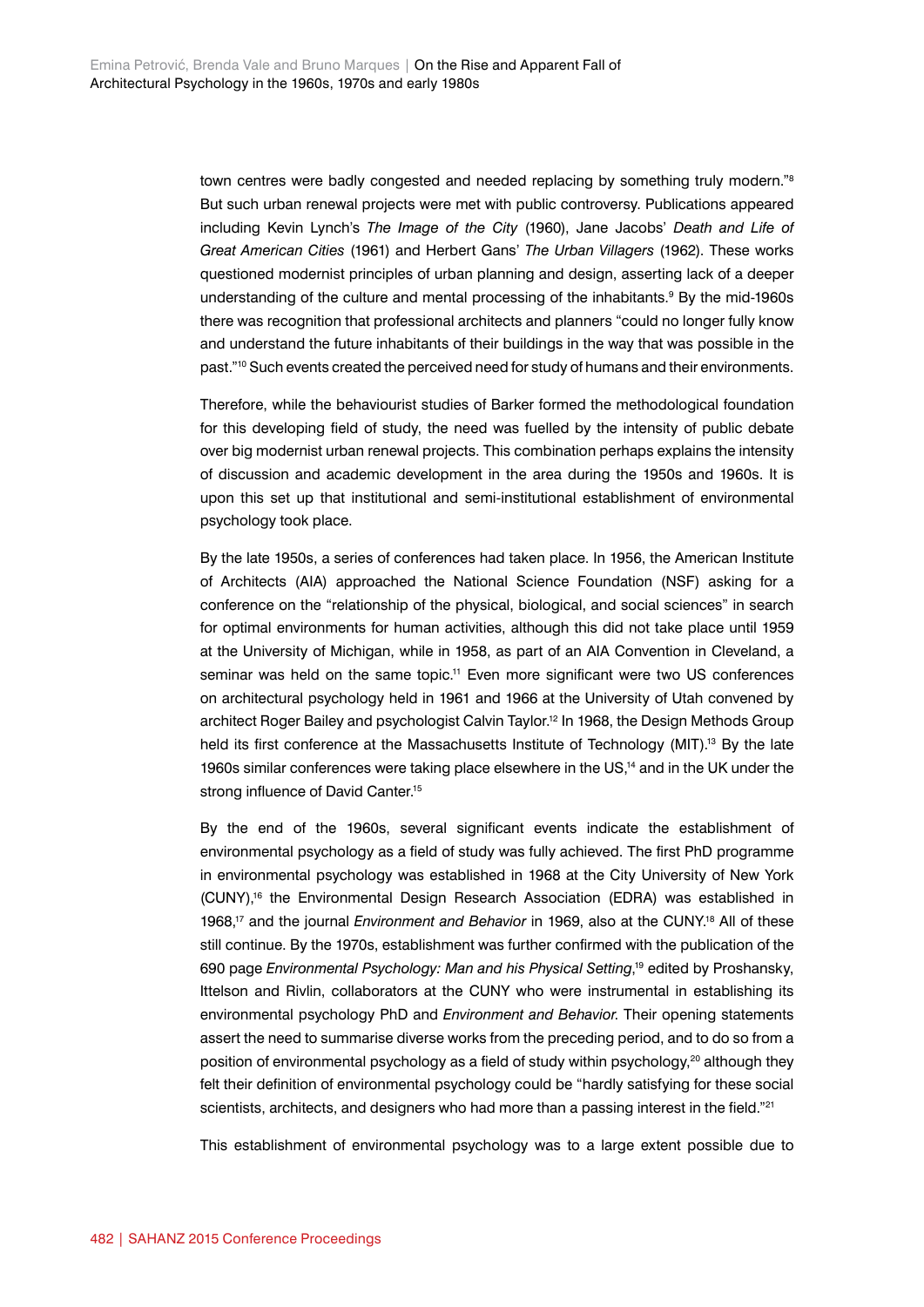town centres were badly congested and needed replacing by something truly modern."8 But such urban renewal projects were met with public controversy. Publications appeared including Kevin Lynch's *The Image of the City* (1960), Jane Jacobs' *Death and Life of Great American Cities* (1961) and Herbert Gans' *The Urban Villagers* (1962). These works questioned modernist principles of urban planning and design, asserting lack of a deeper understanding of the culture and mental processing of the inhabitants.<sup>9</sup> By the mid-1960s there was recognition that professional architects and planners "could no longer fully know and understand the future inhabitants of their buildings in the way that was possible in the past."10 Such events created the perceived need for study of humans and their environments.

Therefore, while the behaviourist studies of Barker formed the methodological foundation for this developing field of study, the need was fuelled by the intensity of public debate over big modernist urban renewal projects. This combination perhaps explains the intensity of discussion and academic development in the area during the 1950s and 1960s. It is upon this set up that institutional and semi-institutional establishment of environmental psychology took place.

By the late 1950s, a series of conferences had taken place. In 1956, the American Institute of Architects (AIA) approached the National Science Foundation (NSF) asking for a conference on the "relationship of the physical, biological, and social sciences" in search for optimal environments for human activities, although this did not take place until 1959 at the University of Michigan, while in 1958, as part of an AIA Convention in Cleveland, a seminar was held on the same topic.<sup>11</sup> Even more significant were two US conferences on architectural psychology held in 1961 and 1966 at the University of Utah convened by architect Roger Bailey and psychologist Calvin Taylor.<sup>12</sup> In 1968, the Design Methods Group held its first conference at the Massachusetts Institute of Technology (MIT).<sup>13</sup> By the late 1960s similar conferences were taking place elsewhere in the US,14 and in the UK under the strong influence of David Canter.<sup>15</sup>

By the end of the 1960s, several significant events indicate the establishment of environmental psychology as a field of study was fully achieved. The first PhD programme in environmental psychology was established in 1968 at the City University of New York (CUNY),16 the Environmental Design Research Association (EDRA) was established in 1968,<sup>17</sup> and the journal *Environment and Behavior* in 1969, also at the CUNY.<sup>18</sup> All of these still continue. By the 1970s, establishment was further confirmed with the publication of the 690 page *Environmental Psychology: Man and his Physical Setting*, 19 edited by Proshansky, Ittelson and Rivlin, collaborators at the CUNY who were instrumental in establishing its environmental psychology PhD and *Environment and Behavior*. Their opening statements assert the need to summarise diverse works from the preceding period, and to do so from a position of environmental psychology as a field of study within psychology,<sup>20</sup> although they felt their definition of environmental psychology could be "hardly satisfying for these social scientists, architects, and designers who had more than a passing interest in the field."<sup>21</sup>

This establishment of environmental psychology was to a large extent possible due to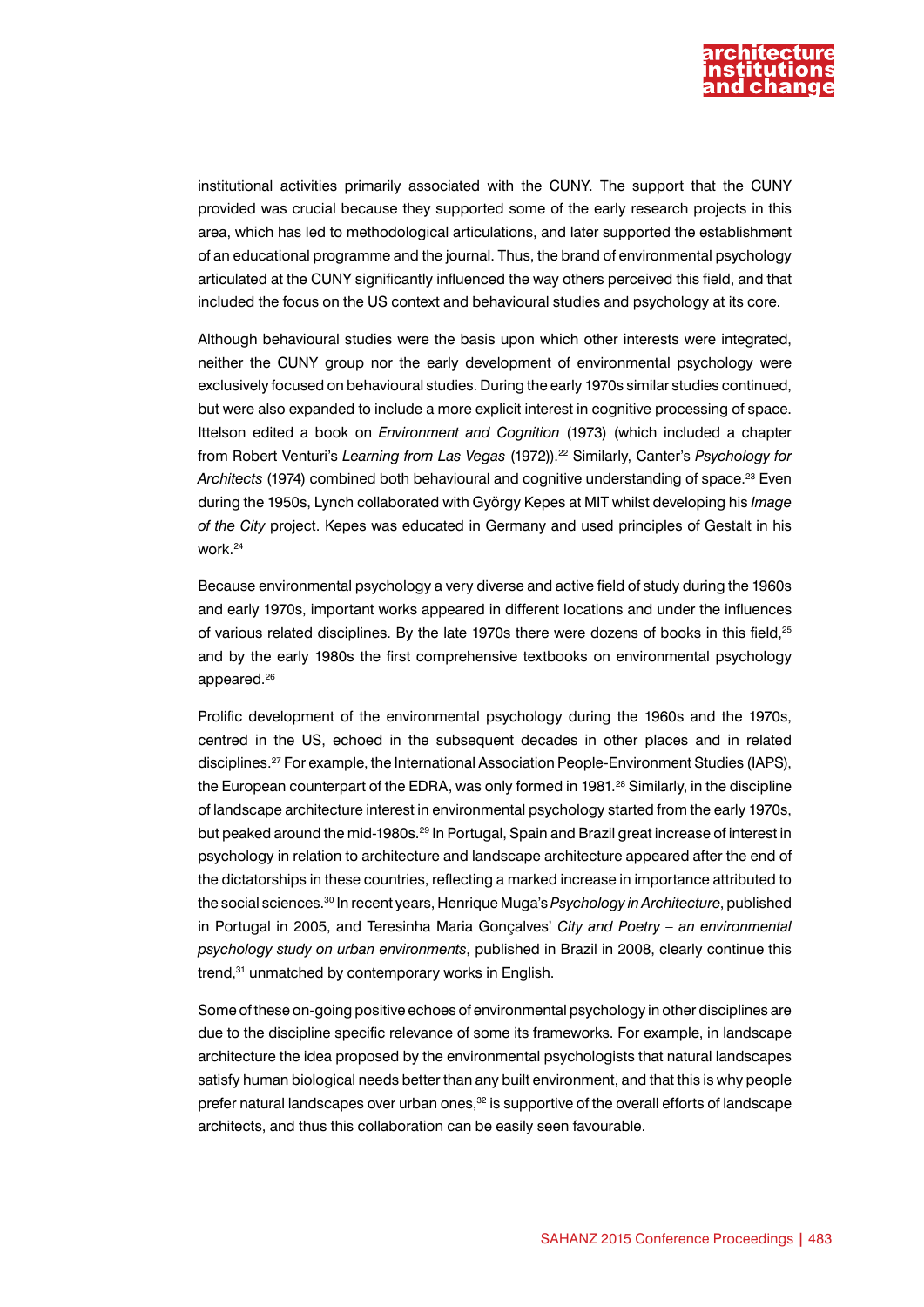

institutional activities primarily associated with the CUNY. The support that the CUNY provided was crucial because they supported some of the early research projects in this area, which has led to methodological articulations, and later supported the establishment of an educational programme and the journal. Thus, the brand of environmental psychology articulated at the CUNY significantly influenced the way others perceived this field, and that included the focus on the US context and behavioural studies and psychology at its core.

Although behavioural studies were the basis upon which other interests were integrated, neither the CUNY group nor the early development of environmental psychology were exclusively focused on behavioural studies. During the early 1970s similar studies continued, but were also expanded to include a more explicit interest in cognitive processing of space. Ittelson edited a book on *Environment and Cognition* (1973) (which included a chapter from Robert Venturi's *Learning from Las Vegas* (1972)).22 Similarly, Canter's *Psychology for Architects* (1974) combined both behavioural and cognitive understanding of space.23 Even during the 1950s, Lynch collaborated with György Kepes at MIT whilst developing his *Image of the City* project. Kepes was educated in Germany and used principles of Gestalt in his work.24

Because environmental psychology a very diverse and active field of study during the 1960s and early 1970s, important works appeared in different locations and under the influences of various related disciplines. By the late 1970s there were dozens of books in this field,<sup>25</sup> and by the early 1980s the first comprehensive textbooks on environmental psychology appeared.<sup>26</sup>

Prolific development of the environmental psychology during the 1960s and the 1970s, centred in the US, echoed in the subsequent decades in other places and in related disciplines.27 For example, the International Association People-Environment Studies (IAPS), the European counterpart of the EDRA, was only formed in 1981.<sup>28</sup> Similarly, in the discipline of landscape architecture interest in environmental psychology started from the early 1970s, but peaked around the mid-1980s.<sup>29</sup> In Portugal, Spain and Brazil great increase of interest in psychology in relation to architecture and landscape architecture appeared after the end of the dictatorships in these countries, reflecting a marked increase in importance attributed to the social sciences.30 In recent years, Henrique Muga's *Psychology in Architecture*, published in Portugal in 2005, and Teresinha Maria Gonçalves' *City and Poetry – an environmental psychology study on urban environments*, published in Brazil in 2008, clearly continue this trend,<sup>31</sup> unmatched by contemporary works in English.

Some of these on-going positive echoes of environmental psychology in other disciplines are due to the discipline specific relevance of some its frameworks. For example, in landscape architecture the idea proposed by the environmental psychologists that natural landscapes satisfy human biological needs better than any built environment, and that this is why people prefer natural landscapes over urban ones.<sup>32</sup> is supportive of the overall efforts of landscape architects, and thus this collaboration can be easily seen favourable.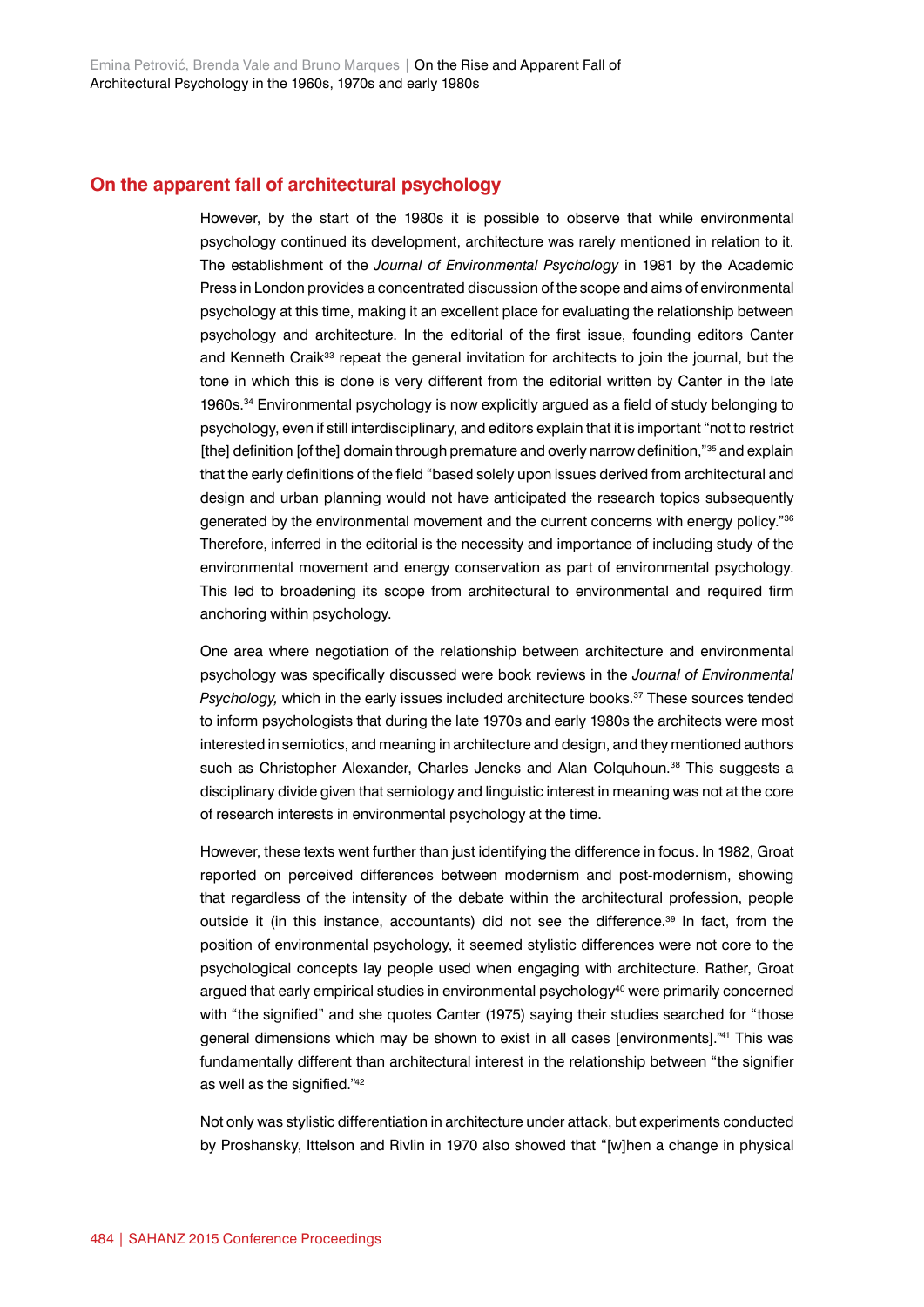## **On the apparent fall of architectural psychology**

However, by the start of the 1980s it is possible to observe that while environmental psychology continued its development, architecture was rarely mentioned in relation to it. The establishment of the *Journal of Environmental Psychology* in 1981 by the Academic Press in London provides a concentrated discussion of the scope and aims of environmental psychology at this time, making it an excellent place for evaluating the relationship between psychology and architecture. In the editorial of the first issue, founding editors Canter and Kenneth Craik<sup>33</sup> repeat the general invitation for architects to join the journal, but the tone in which this is done is very different from the editorial written by Canter in the late 1960s.34 Environmental psychology is now explicitly argued as a field of study belonging to psychology, even if still interdisciplinary, and editors explain that it is important "not to restrict [the] definition [of the] domain through premature and overly narrow definition,"<sup>35</sup> and explain that the early definitions of the field "based solely upon issues derived from architectural and design and urban planning would not have anticipated the research topics subsequently generated by the environmental movement and the current concerns with energy policy."36 Therefore, inferred in the editorial is the necessity and importance of including study of the environmental movement and energy conservation as part of environmental psychology. This led to broadening its scope from architectural to environmental and required firm anchoring within psychology.

One area where negotiation of the relationship between architecture and environmental psychology was specifically discussed were book reviews in the *Journal of Environmental Psychology,* which in the early issues included architecture books.37 These sources tended to inform psychologists that during the late 1970s and early 1980s the architects were most interested in semiotics, and meaning in architecture and design, and they mentioned authors such as Christopher Alexander, Charles Jencks and Alan Colquhoun.<sup>38</sup> This suggests a disciplinary divide given that semiology and linguistic interest in meaning was not at the core of research interests in environmental psychology at the time.

However, these texts went further than just identifying the difference in focus. In 1982, Groat reported on perceived differences between modernism and post-modernism, showing that regardless of the intensity of the debate within the architectural profession, people outside it (in this instance, accountants) did not see the difference.<sup>39</sup> In fact, from the position of environmental psychology, it seemed stylistic differences were not core to the psychological concepts lay people used when engaging with architecture. Rather, Groat argued that early empirical studies in environmental psychology $40$  were primarily concerned with "the signified" and she quotes Canter (1975) saying their studies searched for "those general dimensions which may be shown to exist in all cases [environments].<sup>"41</sup> This was fundamentally different than architectural interest in the relationship between "the signifier as well as the signified."<sup>42</sup>

Not only was stylistic differentiation in architecture under attack, but experiments conducted by Proshansky, Ittelson and Rivlin in 1970 also showed that "[w]hen a change in physical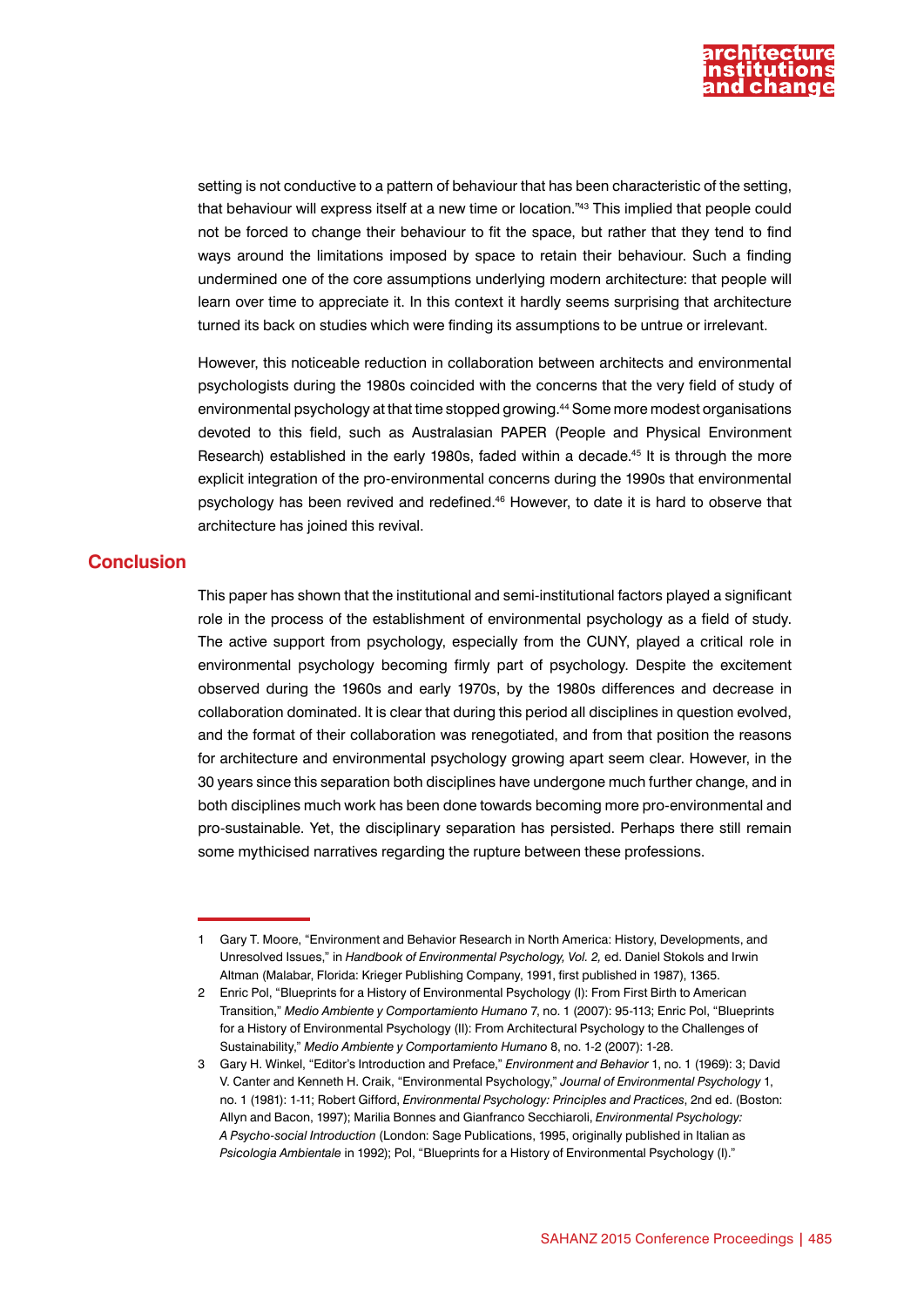

setting is not conductive to a pattern of behaviour that has been characteristic of the setting, that behaviour will express itself at a new time or location."43 This implied that people could not be forced to change their behaviour to fit the space, but rather that they tend to find ways around the limitations imposed by space to retain their behaviour. Such a finding undermined one of the core assumptions underlying modern architecture: that people will learn over time to appreciate it. In this context it hardly seems surprising that architecture turned its back on studies which were finding its assumptions to be untrue or irrelevant.

However, this noticeable reduction in collaboration between architects and environmental psychologists during the 1980s coincided with the concerns that the very field of study of environmental psychology at that time stopped growing.44 Some more modest organisations devoted to this field, such as Australasian PAPER (People and Physical Environment Research) established in the early 1980s, faded within a decade.45 It is through the more explicit integration of the pro-environmental concerns during the 1990s that environmental psychology has been revived and redefined.46 However, to date it is hard to observe that architecture has joined this revival.

#### **Conclusion**

This paper has shown that the institutional and semi-institutional factors played a significant role in the process of the establishment of environmental psychology as a field of study. The active support from psychology, especially from the CUNY, played a critical role in environmental psychology becoming firmly part of psychology. Despite the excitement observed during the 1960s and early 1970s, by the 1980s differences and decrease in collaboration dominated. It is clear that during this period all disciplines in question evolved, and the format of their collaboration was renegotiated, and from that position the reasons for architecture and environmental psychology growing apart seem clear. However, in the 30 years since this separation both disciplines have undergone much further change, and in both disciplines much work has been done towards becoming more pro-environmental and pro-sustainable. Yet, the disciplinary separation has persisted. Perhaps there still remain some mythicised narratives regarding the rupture between these professions.

<sup>1</sup> Gary T. Moore, "Environment and Behavior Research in North America: History, Developments, and Unresolved Issues," in *Handbook of Environmental Psychology, Vol. 2,* ed. Daniel Stokols and Irwin Altman (Malabar, Florida: Krieger Publishing Company, 1991, first published in 1987), 1365.

<sup>2</sup> Enric Pol, "Blueprints for a History of Environmental Psychology (I): From First Birth to American Transition," *Medio Ambiente y Comportamiento Humano* 7, no. 1 (2007): 95-113; Enric Pol, "Blueprints for a History of Environmental Psychology (II): From Architectural Psychology to the Challenges of Sustainability," *Medio Ambiente y Comportamiento Humano* 8, no. 1-2 (2007): 1-28.

<sup>3</sup> Gary H. Winkel, "Editor's Introduction and Preface," *Environment and Behavior* 1, no. 1 (1969): 3; David V. Canter and Kenneth H. Craik, "Environmental Psychology," *Journal of Environmental Psychology* 1, no. 1 (1981): 1-11; Robert Gifford, *Environmental Psychology: Principles and Practices*, 2nd ed. (Boston: Allyn and Bacon, 1997); Marilia Bonnes and Gianfranco Secchiaroli, *Environmental Psychology: A Psycho-social Introduction* (London: Sage Publications, 1995, originally published in Italian as *Psicologia Ambientale* in 1992); Pol, "Blueprints for a History of Environmental Psychology (I)."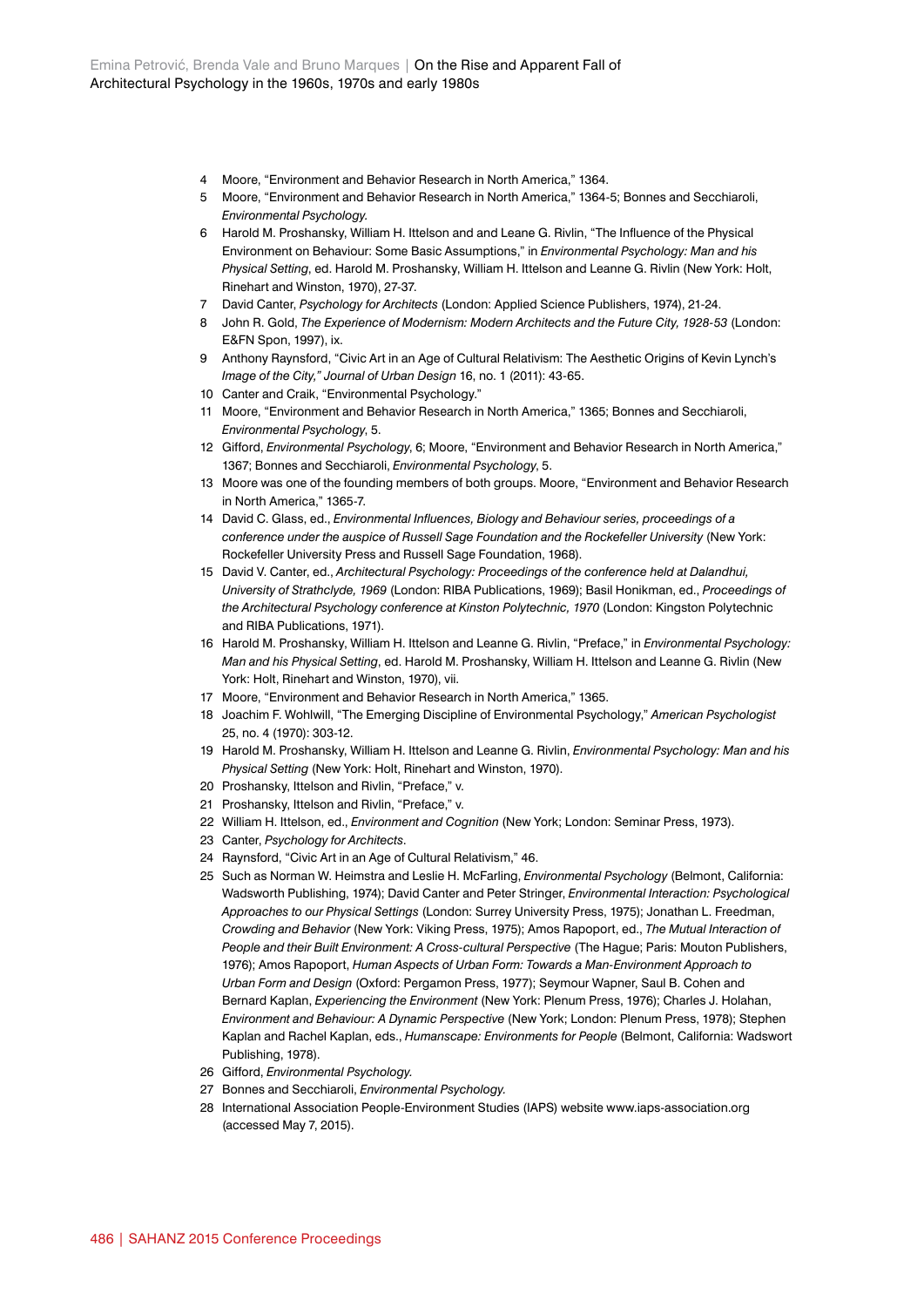- 4 Moore, "Environment and Behavior Research in North America," 1364.
- 5 Moore, "Environment and Behavior Research in North America," 1364-5; Bonnes and Secchiaroli, *Environmental Psychology.*
- 6 Harold M. Proshansky, William H. Ittelson and and Leane G. Rivlin, "The Influence of the Physical Environment on Behaviour: Some Basic Assumptions," in *Environmental Psychology: Man and his Physical Setting*, ed. Harold M. Proshansky, William H. Ittelson and Leanne G. Rivlin (New York: Holt, Rinehart and Winston, 1970), 27-37.
- 7 David Canter, *Psychology for Architects* (London: Applied Science Publishers, 1974), 21-24.
- 8 John R. Gold, *The Experience of Modernism: Modern Architects and the Future City, 1928-53* (London: E&FN Spon, 1997), ix.
- 9 Anthony Raynsford, "Civic Art in an Age of Cultural Relativism: The Aesthetic Origins of Kevin Lynch's *Image of the City," Journal of Urban Design* 16, no. 1 (2011): 43-65.
- 10 Canter and Craik, "Environmental Psychology."
- 11 Moore, "Environment and Behavior Research in North America," 1365; Bonnes and Secchiaroli, *Environmental Psychology*, 5.
- 12 Gifford, *Environmental Psychology*, 6; Moore, "Environment and Behavior Research in North America," 1367; Bonnes and Secchiaroli, *Environmental Psychology*, 5.
- 13 Moore was one of the founding members of both groups. Moore, "Environment and Behavior Research in North America," 1365-7.
- 14 David C. Glass, ed., *Environmental Influences, Biology and Behaviour series, proceedings of a conference under the auspice of Russell Sage Foundation and the Rockefeller University* (New York: Rockefeller University Press and Russell Sage Foundation, 1968).
- 15 David V. Canter, ed., *Architectural Psychology: Proceedings of the conference held at Dalandhui, University of Strathclyde, 1969* (London: RIBA Publications, 1969); Basil Honikman, ed., *Proceedings of the Architectural Psychology conference at Kinston Polytechnic, 1970* (London: Kingston Polytechnic and RIBA Publications, 1971).
- 16 Harold M. Proshansky, William H. Ittelson and Leanne G. Rivlin, "Preface," in *Environmental Psychology: Man and his Physical Setting*, ed. Harold M. Proshansky, William H. Ittelson and Leanne G. Rivlin (New York: Holt, Rinehart and Winston, 1970), vii.
- 17 Moore, "Environment and Behavior Research in North America," 1365.
- 18 Joachim F. Wohlwill, "The Emerging Discipline of Environmental Psychology," *American Psychologist* 25, no. 4 (1970): 303-12.
- 19 Harold M. Proshansky, William H. Ittelson and Leanne G. Rivlin, *Environmental Psychology: Man and his Physical Setting* (New York: Holt, Rinehart and Winston, 1970).
- 20 Proshansky, Ittelson and Rivlin, "Preface," v.
- 21 Proshansky, Ittelson and Rivlin, "Preface," v.
- 22 William H. Ittelson, ed., *Environment and Cognition* (New York; London: Seminar Press, 1973).
- 23 Canter, *Psychology for Architects*.
- 24 Raynsford, "Civic Art in an Age of Cultural Relativism," 46.
- 25 Such as Norman W. Heimstra and Leslie H. McFarling, *Environmental Psychology* (Belmont, California: Wadsworth Publishing, 1974); David Canter and Peter Stringer, *Environmental Interaction: Psychological Approaches to our Physical Settings* (London: Surrey University Press, 1975); Jonathan L. Freedman, *Crowding and Behavior* (New York: Viking Press, 1975); Amos Rapoport, ed., *The Mutual Interaction of People and their Built Environment: A Cross-cultural Perspective* (The Hague; Paris: Mouton Publishers, 1976); Amos Rapoport, *Human Aspects of Urban Form: Towards a Man-Environment Approach to Urban Form and Design* (Oxford: Pergamon Press, 1977); Seymour Wapner, Saul B. Cohen and Bernard Kaplan, *Experiencing the Environment* (New York: Plenum Press, 1976); Charles J. Holahan, *Environment and Behaviour: A Dynamic Perspective* (New York; London: Plenum Press, 1978); Stephen Kaplan and Rachel Kaplan, eds., *Humanscape: Environments for People* (Belmont, California: Wadswort Publishing, 1978).
- 26 Gifford, *Environmental Psychology.*
- 27 Bonnes and Secchiaroli, *Environmental Psychology.*
- 28 International Association People-Environment Studies (IAPS) website [www.iaps-association.org](http://www.iaps-association.org) (accessed May 7, 2015).